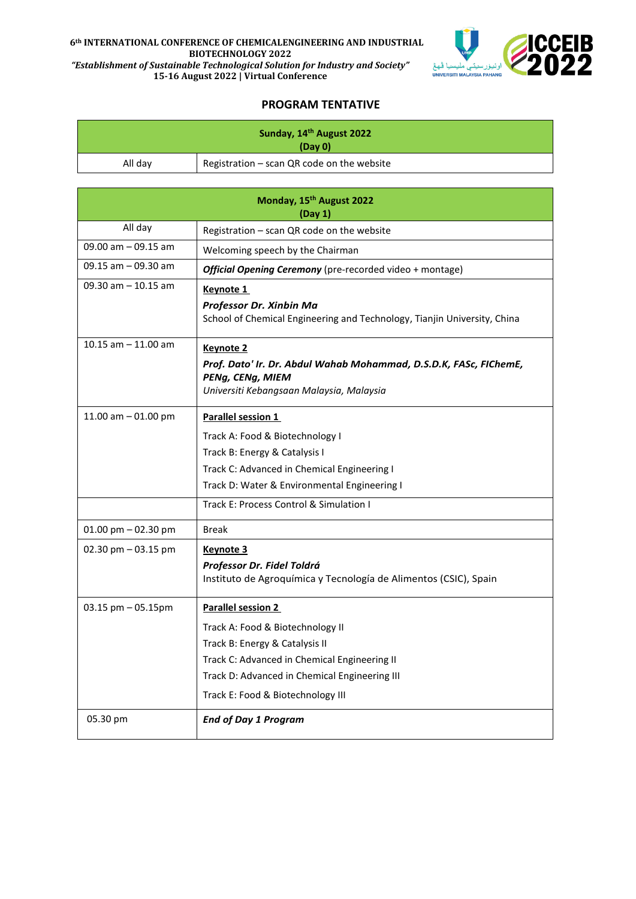## **6th INTERNATIONAL CONFERENCE OF CHEMICALENGINEERING AND INDUSTRIAL BIOTECHNOLOGY 2022** *"Establishment of Sustainable Technological Solution for Industry and Society"*



**15-16 August 2022 | Virtual Conference**

## **PROGRAM TENTATIVE**

| Sunday, 14 <sup>th</sup> August 2022<br>(Day 0) |                                                                                                                                                       |  |
|-------------------------------------------------|-------------------------------------------------------------------------------------------------------------------------------------------------------|--|
| All day                                         | Registration - scan QR code on the website                                                                                                            |  |
|                                                 |                                                                                                                                                       |  |
| Monday, 15 <sup>th</sup> August 2022<br>(Day 1) |                                                                                                                                                       |  |
| All day                                         | Registration - scan QR code on the website                                                                                                            |  |
| 09.00 am $-$ 09.15 am                           | Welcoming speech by the Chairman                                                                                                                      |  |
| 09.15 am - 09.30 am                             | Official Opening Ceremony (pre-recorded video + montage)                                                                                              |  |
| 09.30 am $-$ 10.15 am                           | Keynote 1<br>Professor Dr. Xinbin Ma<br>School of Chemical Engineering and Technology, Tianjin University, China                                      |  |
| 10.15 $am - 11.00$ am                           | <b>Keynote 2</b><br>Prof. Dato' Ir. Dr. Abdul Wahab Mohammad, D.S.D.K, FASc, FIChemE,<br>PENg, CENg, MIEM<br>Universiti Kebangsaan Malaysia, Malaysia |  |
| 11.00 am $-$ 01.00 pm                           | Parallel session 1                                                                                                                                    |  |
|                                                 | Track A: Food & Biotechnology I                                                                                                                       |  |
|                                                 | Track B: Energy & Catalysis I<br>Track C: Advanced in Chemical Engineering I                                                                          |  |
|                                                 | Track D: Water & Environmental Engineering I                                                                                                          |  |
|                                                 | Track E: Process Control & Simulation I                                                                                                               |  |
| 01.00 pm $-$ 02.30 pm                           | <b>Break</b>                                                                                                                                          |  |
| 02.30 pm $-$ 03.15 pm                           | <b>Keynote 3</b>                                                                                                                                      |  |
|                                                 | Professor Dr. Fidel Toldrá<br>Instituto de Agroquímica y Tecnología de Alimentos (CSIC), Spain                                                        |  |
| 03.15 pm - 05.15pm                              | <b>Parallel session 2</b>                                                                                                                             |  |
|                                                 | Track A: Food & Biotechnology II                                                                                                                      |  |
|                                                 | Track B: Energy & Catalysis II                                                                                                                        |  |
|                                                 | Track C: Advanced in Chemical Engineering II                                                                                                          |  |
|                                                 | Track D: Advanced in Chemical Engineering III                                                                                                         |  |
|                                                 | Track E: Food & Biotechnology III                                                                                                                     |  |
| 05.30 pm                                        | <b>End of Day 1 Program</b>                                                                                                                           |  |